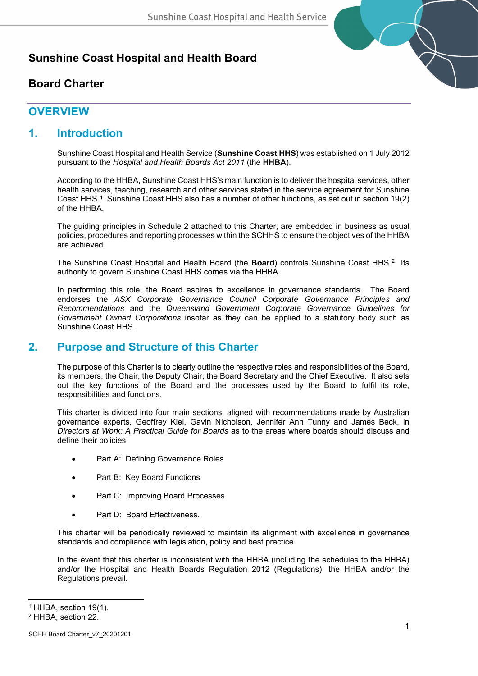# **Sunshine Coast Hospital and Health Board**

# **Board Charter**



# **OVERVIEW**

## **1. Introduction**

Sunshine Coast Hospital and Health Service (**Sunshine Coast HHS**) was established on 1 July 2012 pursuant to the *Hospital and Health Boards Act 2011* (the **HHBA**).

According to the HHBA, Sunshine Coast HHS's main function is to deliver the hospital services, other health services, teaching, research and other services stated in the service agreement for Sunshine Coast HHS.[1](#page-0-0) Sunshine Coast HHS also has a number of other functions, as set out in section 19(2) of the HHBA.

The guiding principles in Schedule 2 attached to this Charter, are embedded in business as usual policies, procedures and reporting processes within the SCHHS to ensure the objectives of the HHBA are achieved.

The Sunshine Coast Hospital and Health Board (the **Board**) controls Sunshine Coast HHS.[2](#page-0-1) Its authority to govern Sunshine Coast HHS comes via the HHBA.

In performing this role, the Board aspires to excellence in governance standards. The Board endorses the *ASX Corporate Governance Council Corporate Governance Principles and Recommendations* and the *Queensland Government Corporate Governance Guidelines for Government Owned Corporations* insofar as they can be applied to a statutory body such as Sunshine Coast HHS.

# **2. Purpose and Structure of this Charter**

The purpose of this Charter is to clearly outline the respective roles and responsibilities of the Board, its members, the Chair, the Deputy Chair, the Board Secretary and the Chief Executive. It also sets out the key functions of the Board and the processes used by the Board to fulfil its role, responsibilities and functions.

This charter is divided into four main sections, aligned with recommendations made by Australian governance experts, Geoffrey Kiel, Gavin Nicholson, Jennifer Ann Tunny and James Beck, in *Directors at Work: A Practical Guide for Boards* as to the areas where boards should discuss and define their policies:

- Part A: Defining Governance Roles
- Part B: Key Board Functions
- Part C: Improving Board Processes
- Part D: Board Effectiveness.

This charter will be periodically reviewed to maintain its alignment with excellence in governance standards and compliance with legislation, policy and best practice.

In the event that this charter is inconsistent with the HHBA (including the schedules to the HHBA) and/or the Hospital and Health Boards Regulation 2012 (Regulations), the HHBA and/or the Regulations prevail.

<span id="page-0-0"></span><sup>1</sup> HHBA, section 19(1).

<span id="page-0-1"></span><sup>2</sup> HHBA, section 22.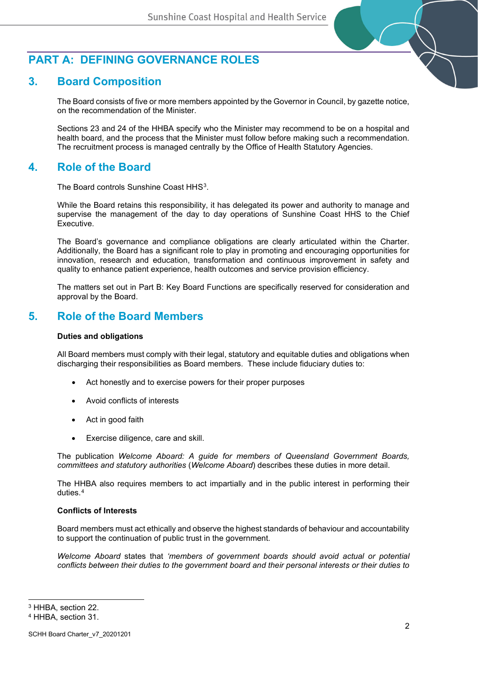

## **3. Board Composition**

The Board consists of five or more members appointed by the Governor in Council, by gazette notice, on the recommendation of the Minister.

Sections 23 and 24 of the HHBA specify who the Minister may recommend to be on a hospital and health board, and the process that the Minister must follow before making such a recommendation. The recruitment process is managed centrally by the Office of Health Statutory Agencies.

### **4. Role of the Board**

The Board controls Sunshine Coast HHS<sup>[3](#page-1-0)</sup>.

While the Board retains this responsibility, it has delegated its power and authority to manage and supervise the management of the day to day operations of Sunshine Coast HHS to the Chief Executive.

The Board's governance and compliance obligations are clearly articulated within the Charter. Additionally, the Board has a significant role to play in promoting and encouraging opportunities for innovation, research and education, transformation and continuous improvement in safety and quality to enhance patient experience, health outcomes and service provision efficiency.

The matters set out in Part B: Key Board Functions are specifically reserved for consideration and approval by the Board.

## **5. Role of the Board Members**

### **Duties and obligations**

All Board members must comply with their legal, statutory and equitable duties and obligations when discharging their responsibilities as Board members. These include fiduciary duties to:

- Act honestly and to exercise powers for their proper purposes
- Avoid conflicts of interests
- Act in good faith
- Exercise diligence, care and skill.

The publication *Welcome Aboard: A guide for members of Queensland Government Boards, committees and statutory authorities* (*Welcome Aboard*) describes these duties in more detail.

The HHBA also requires members to act impartially and in the public interest in performing their duties.[4](#page-1-1)

#### **Conflicts of Interests**

Board members must act ethically and observe the highest standards of behaviour and accountability to support the continuation of public trust in the government.

*Welcome Aboard* states that *'members of government boards should avoid actual or potential conflicts between their duties to the government board and their personal interests or their duties to* 

<span id="page-1-0"></span><sup>3</sup> HHBA, section 22.

<span id="page-1-1"></span><sup>4</sup> HHBA, section 31.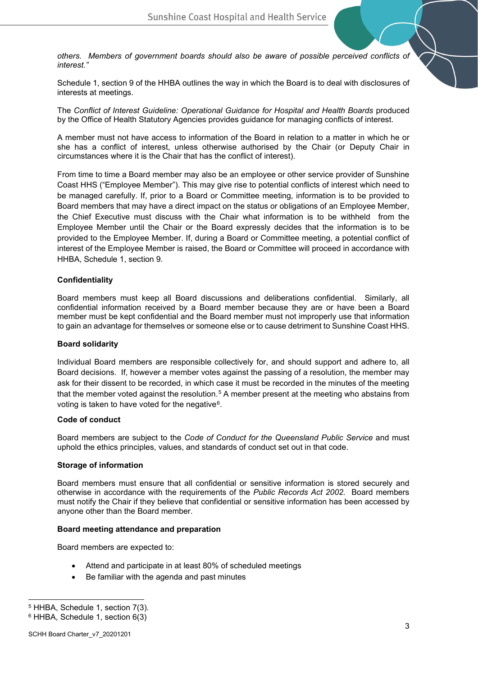*others. Members of government boards should also be aware of possible perceived conflicts of interest."*

Schedule 1, section 9 of the HHBA outlines the way in which the Board is to deal with disclosures of interests at meetings.

The *Conflict of Interest Guideline: Operational Guidance for Hospital and Health Boards* produced by the Office of Health Statutory Agencies provides guidance for managing conflicts of interest.

A member must not have access to information of the Board in relation to a matter in which he or she has a conflict of interest, unless otherwise authorised by the Chair (or Deputy Chair in circumstances where it is the Chair that has the conflict of interest).

From time to time a Board member may also be an employee or other service provider of Sunshine Coast HHS ("Employee Member"). This may give rise to potential conflicts of interest which need to be managed carefully. If, prior to a Board or Committee meeting, information is to be provided to Board members that may have a direct impact on the status or obligations of an Employee Member, the Chief Executive must discuss with the Chair what information is to be withheld from the Employee Member until the Chair or the Board expressly decides that the information is to be provided to the Employee Member. If, during a Board or Committee meeting, a potential conflict of interest of the Employee Member is raised, the Board or Committee will proceed in accordance with HHBA, Schedule 1, section 9.

### **Confidentiality**

Board members must keep all Board discussions and deliberations confidential. Similarly, all confidential information received by a Board member because they are or have been a Board member must be kept confidential and the Board member must not improperly use that information to gain an advantage for themselves or someone else or to cause detriment to Sunshine Coast HHS.

#### **Board solidarity**

Individual Board members are responsible collectively for, and should support and adhere to, all Board decisions. If, however a member votes against the passing of a resolution, the member may ask for their dissent to be recorded, in which case it must be recorded in the minutes of the meeting that the member voted against the resolution.<sup>[5](#page-2-0)</sup> A member present at the meeting who abstains from voting is taken to have voted for the negative<sup>6</sup>.

#### **Code of conduct**

Board members are subject to the *Code of Conduct for the Queensland Public Service* and must uphold the ethics principles, values, and standards of conduct set out in that code.

#### **Storage of information**

Board members must ensure that all confidential or sensitive information is stored securely and otherwise in accordance with the requirements of the *Public Records Act 2002.* Board members must notify the Chair if they believe that confidential or sensitive information has been accessed by anyone other than the Board member.

#### **Board meeting attendance and preparation**

Board members are expected to:

- Attend and participate in at least 80% of scheduled meetings
- Be familiar with the agenda and past minutes

<span id="page-2-1"></span><span id="page-2-0"></span><sup>5</sup> HHBA, Schedule 1, section 7(3).

<sup>6</sup> HHBA, Schedule 1, section 6(3)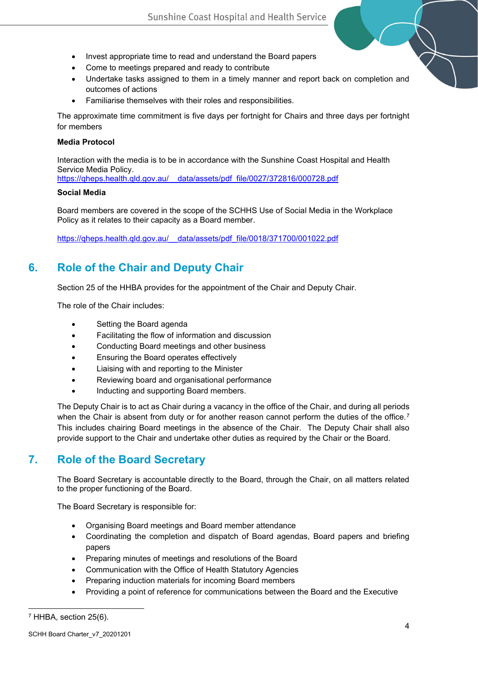- Invest appropriate time to read and understand the Board papers
- Come to meetings prepared and ready to contribute
- Undertake tasks assigned to them in a timely manner and report back on completion and outcomes of actions
- Familiarise themselves with their roles and responsibilities.

The approximate time commitment is five days per fortnight for Chairs and three days per fortnight for members

### **Media Protocol**

Interaction with the media is to be in accordance with the Sunshine Coast Hospital and Health Service Media Policy. [https://qheps.health.qld.gov.au/\\_\\_data/assets/pdf\\_file/0027/372816/000728.pdf](https://qheps.health.qld.gov.au/__data/assets/pdf_file/0027/372816/000728.pdf)

### **Social Media**

Board members are covered in the scope of the SCHHS Use of Social Media in the Workplace Policy as it relates to their capacity as a Board member.

[https://qheps.health.qld.gov.au/\\_\\_data/assets/pdf\\_file/0018/371700/001022.pdf](https://qheps.health.qld.gov.au/__data/assets/pdf_file/0018/371700/001022.pdf)

# **6. Role of the Chair and Deputy Chair**

Section 25 of the HHBA provides for the appointment of the Chair and Deputy Chair.

The role of the Chair includes:

- Setting the Board agenda
- Facilitating the flow of information and discussion
- Conducting Board meetings and other business
- Ensuring the Board operates effectively
- Liaising with and reporting to the Minister
- Reviewing board and organisational performance
- Inducting and supporting Board members.

The Deputy Chair is to act as Chair during a vacancy in the office of the Chair, and during all periods when the Chair is absent from duty or for another reason cannot perform the duties of the office.<sup>[7](#page-3-0)</sup> This includes chairing Board meetings in the absence of the Chair. The Deputy Chair shall also provide support to the Chair and undertake other duties as required by the Chair or the Board.

# **7. Role of the Board Secretary**

The Board Secretary is accountable directly to the Board, through the Chair, on all matters related to the proper functioning of the Board.

The Board Secretary is responsible for:

- Organising Board meetings and Board member attendance
- Coordinating the completion and dispatch of Board agendas, Board papers and briefing papers
- Preparing minutes of meetings and resolutions of the Board
- Communication with the Office of Health Statutory Agencies
- Preparing induction materials for incoming Board members
- Providing a point of reference for communications between the Board and the Executive

<span id="page-3-0"></span> $7$  HHBA, section 25(6).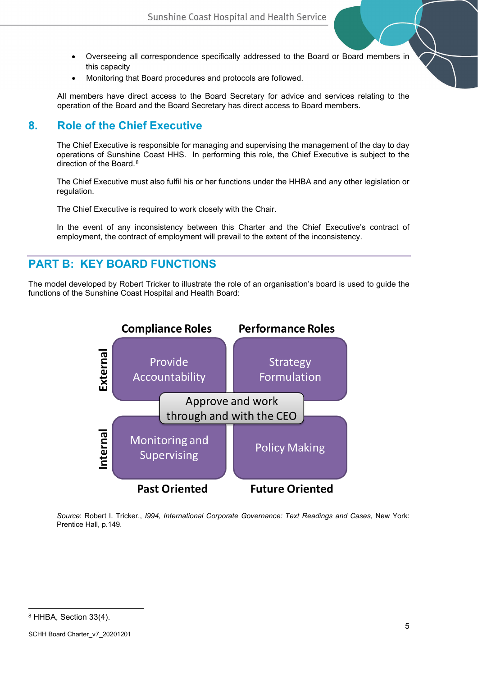- Overseeing all correspondence specifically addressed to the Board or Board members in this capacity
- Monitoring that Board procedures and protocols are followed.

All members have direct access to the Board Secretary for advice and services relating to the operation of the Board and the Board Secretary has direct access to Board members.

# **8. Role of the Chief Executive**

The Chief Executive is responsible for managing and supervising the management of the day to day operations of Sunshine Coast HHS. In performing this role, the Chief Executive is subject to the direction of the Board.<sup>[8](#page-4-0)</sup>

The Chief Executive must also fulfil his or her functions under the HHBA and any other legislation or regulation.

The Chief Executive is required to work closely with the Chair.

In the event of any inconsistency between this Charter and the Chief Executive's contract of employment, the contract of employment will prevail to the extent of the inconsistency.

## **PART B: KEY BOARD FUNCTIONS**

The model developed by Robert Tricker to illustrate the role of an organisation's board is used to guide the functions of the Sunshine Coast Hospital and Health Board:



<span id="page-4-0"></span>*Source*: Robert I. Tricker., *I994, International Corporate Governance: Text Readings and Cases*, New York: Prentice Hall, p.149.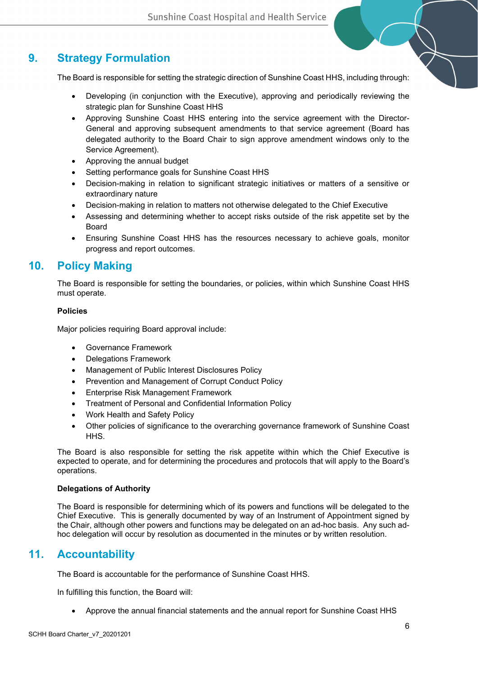# **9. Strategy Formulation**

The Board is responsible for setting the strategic direction of Sunshine Coast HHS, including through:

- Developing (in conjunction with the Executive), approving and periodically reviewing the strategic plan for Sunshine Coast HHS
- Approving Sunshine Coast HHS entering into the service agreement with the Director-General and approving subsequent amendments to that service agreement (Board has delegated authority to the Board Chair to sign approve amendment windows only to the Service Agreement).
- Approving the annual budget
- Setting performance goals for Sunshine Coast HHS
- Decision-making in relation to significant strategic initiatives or matters of a sensitive or extraordinary nature
- Decision-making in relation to matters not otherwise delegated to the Chief Executive
- Assessing and determining whether to accept risks outside of the risk appetite set by the Board
- Ensuring Sunshine Coast HHS has the resources necessary to achieve goals, monitor progress and report outcomes.

## **10. Policy Making**

The Board is responsible for setting the boundaries, or policies, within which Sunshine Coast HHS must operate.

#### **Policies**

Major policies requiring Board approval include:

- Governance Framework
- Delegations Framework
- Management of Public Interest Disclosures Policy
- Prevention and Management of Corrupt Conduct Policy
- Enterprise Risk Management Framework
- Treatment of Personal and Confidential Information Policy
- Work Health and Safety Policy
- Other policies of significance to the overarching governance framework of Sunshine Coast HHS.

The Board is also responsible for setting the risk appetite within which the Chief Executive is expected to operate, and for determining the procedures and protocols that will apply to the Board's operations.

#### **Delegations of Authority**

The Board is responsible for determining which of its powers and functions will be delegated to the Chief Executive. This is generally documented by way of an Instrument of Appointment signed by the Chair, although other powers and functions may be delegated on an ad-hoc basis. Any such adhoc delegation will occur by resolution as documented in the minutes or by written resolution.

### **11. Accountability**

The Board is accountable for the performance of Sunshine Coast HHS.

In fulfilling this function, the Board will:

• Approve the annual financial statements and the annual report for Sunshine Coast HHS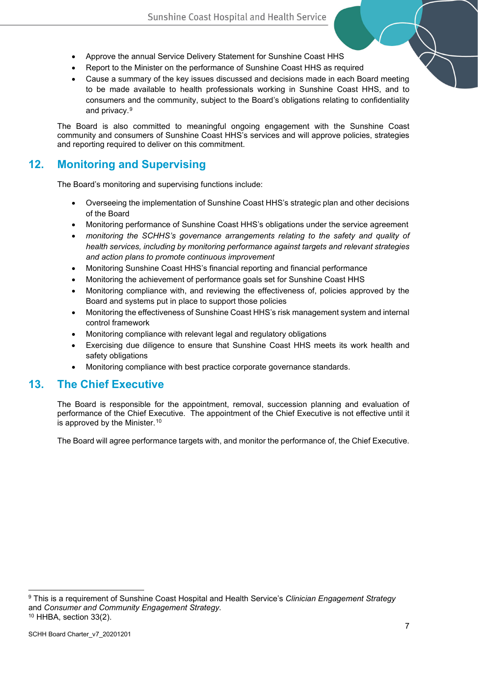- Approve the annual Service Delivery Statement for Sunshine Coast HHS
- Report to the Minister on the performance of Sunshine Coast HHS as required
- Cause a summary of the key issues discussed and decisions made in each Board meeting to be made available to health professionals working in Sunshine Coast HHS, and to consumers and the community, subject to the Board's obligations relating to confidentiality and privacy.[9](#page-6-0)

The Board is also committed to meaningful ongoing engagement with the Sunshine Coast community and consumers of Sunshine Coast HHS's services and will approve policies, strategies and reporting required to deliver on this commitment.

## **12. Monitoring and Supervising**

The Board's monitoring and supervising functions include:

- Overseeing the implementation of Sunshine Coast HHS's strategic plan and other decisions of the Board
- Monitoring performance of Sunshine Coast HHS's obligations under the service agreement
- *monitoring the SCHHS's governance arrangements relating to the safety and quality of health services, including by monitoring performance against targets and relevant strategies and action plans to promote continuous improvement*
- Monitoring Sunshine Coast HHS's financial reporting and financial performance
- Monitoring the achievement of performance goals set for Sunshine Coast HHS
- Monitoring compliance with, and reviewing the effectiveness of, policies approved by the Board and systems put in place to support those policies
- Monitoring the effectiveness of Sunshine Coast HHS's risk management system and internal control framework
- Monitoring compliance with relevant legal and regulatory obligations
- Exercising due diligence to ensure that Sunshine Coast HHS meets its work health and safety obligations
- Monitoring compliance with best practice corporate governance standards.

### **13. The Chief Executive**

The Board is responsible for the appointment, removal, succession planning and evaluation of performance of the Chief Executive. The appointment of the Chief Executive is not effective until it is approved by the Minister.<sup>[10](#page-6-1)</sup>

The Board will agree performance targets with, and monitor the performance of, the Chief Executive.

<span id="page-6-1"></span><span id="page-6-0"></span><sup>9</sup> This is a requirement of Sunshine Coast Hospital and Health Service's *Clinician Engagement Strategy*  and *Consumer and Community Engagement Strategy.*  $10$  HHBA, section 33(2).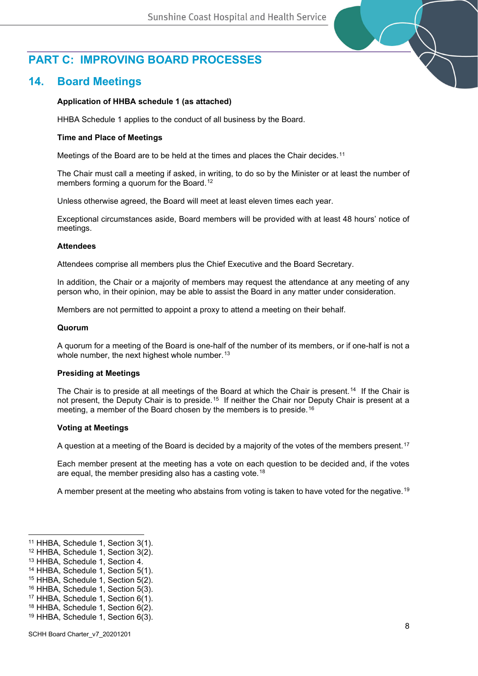# **PART C: IMPROVING BOARD PROCESSES**

## **14. Board Meetings**

### **Application of HHBA schedule 1 (as attached)**

HHBA Schedule 1 applies to the conduct of all business by the Board.

### **Time and Place of Meetings**

Meetings of the Board are to be held at the times and places the Chair decides.<sup>11</sup>

The Chair must call a meeting if asked, in writing, to do so by the Minister or at least the number of members forming a quorum for the Board.<sup>[12](#page-7-1)</sup>

Unless otherwise agreed, the Board will meet at least eleven times each year.

Exceptional circumstances aside, Board members will be provided with at least 48 hours' notice of meetings.

#### **Attendees**

Attendees comprise all members plus the Chief Executive and the Board Secretary.

In addition, the Chair or a majority of members may request the attendance at any meeting of any person who, in their opinion, may be able to assist the Board in any matter under consideration.

Members are not permitted to appoint a proxy to attend a meeting on their behalf.

#### **Quorum**

A quorum for a meeting of the Board is one-half of the number of its members, or if one-half is not a whole number, the next highest whole number.<sup>[13](#page-7-2)</sup>

#### **Presiding at Meetings**

The Chair is to preside at all meetings of the Board at which the Chair is present.<sup>14</sup> If the Chair is not present, the Deputy Chair is to preside.<sup>15</sup> If neither the Chair nor Deputy Chair is present at a meeting, a member of the Board chosen by the members is to preside.<sup>[16](#page-7-5)</sup>

#### **Voting at Meetings**

A question at a meeting of the Board is decided by a majority of the votes of the members present.<sup>[17](#page-7-6)</sup>

Each member present at the meeting has a vote on each question to be decided and, if the votes are equal, the member presiding also has a casting vote.<sup>[18](#page-7-7)</sup>

A member present at the meeting who abstains from voting is taken to have voted for the negative.[19](#page-7-8)

<span id="page-7-0"></span><sup>11</sup> HHBA, Schedule 1, Section 3(1).

<span id="page-7-1"></span><sup>12</sup> HHBA, Schedule 1, Section 3(2).

<span id="page-7-2"></span><sup>13</sup> HHBA, Schedule 1, Section 4.

<span id="page-7-3"></span><sup>14</sup> HHBA, Schedule 1, Section 5(1).

<span id="page-7-4"></span><sup>15</sup> HHBA, Schedule 1, Section 5(2).

<span id="page-7-5"></span><sup>16</sup> HHBA, Schedule 1, Section 5(3).

<span id="page-7-6"></span><sup>17</sup> HHBA, Schedule 1, Section 6(1).

<span id="page-7-7"></span><sup>18</sup> HHBA, Schedule 1, Section 6(2).

<span id="page-7-8"></span><sup>19</sup> HHBA, Schedule 1, Section 6(3).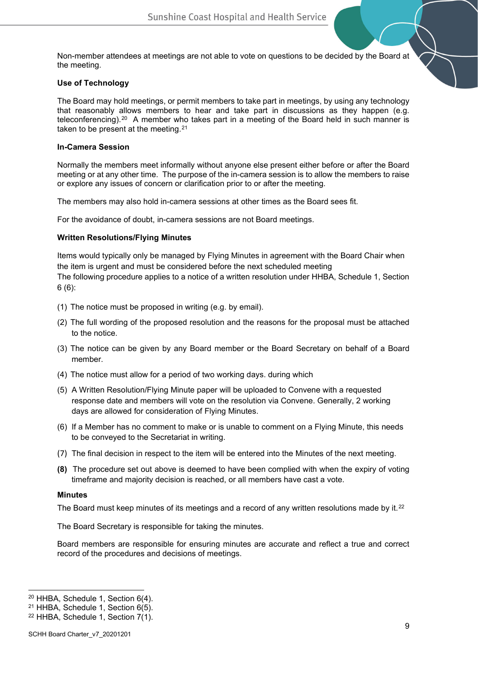Non-member attendees at meetings are not able to vote on questions to be decided by the Board at the meeting.

### **Use of Technology**

The Board may hold meetings, or permit members to take part in meetings, by using any technology that reasonably allows members to hear and take part in discussions as they happen (e.g. teleconferencing).<sup>20</sup> A member who takes part in a meeting of the Board held in such manner is taken to be present at the meeting.<sup>[21](#page-8-1)</sup>

#### **In-Camera Session**

Normally the members meet informally without anyone else present either before or after the Board meeting or at any other time. The purpose of the in-camera session is to allow the members to raise or explore any issues of concern or clarification prior to or after the meeting.

The members may also hold in-camera sessions at other times as the Board sees fit.

For the avoidance of doubt, in-camera sessions are not Board meetings.

#### **Written Resolutions/Flying Minutes**

Items would typically only be managed by Flying Minutes in agreement with the Board Chair when the item is urgent and must be considered before the next scheduled meeting

The following procedure applies to a notice of a written resolution under HHBA, Schedule 1, Section 6 (6):

- (1) The notice must be proposed in writing (e.g. by email).
- (2) The full wording of the proposed resolution and the reasons for the proposal must be attached to the notice.
- (3) The notice can be given by any Board member or the Board Secretary on behalf of a Board member.
- (4) The notice must allow for a period of two working days. during which
- (5) A Written Resolution/Flying Minute paper will be uploaded to Convene with a requested response date and members will vote on the resolution via Convene. Generally, 2 working days are allowed for consideration of Flying Minutes.
- (6) If a Member has no comment to make or is unable to comment on a Flying Minute, this needs to be conveyed to the Secretariat in writing.
- (7) The final decision in respect to the item will be entered into the Minutes of the next meeting.
- **(8)** The procedure set out above is deemed to have been complied with when the expiry of voting timeframe and majority decision is reached, or all members have cast a vote.

#### **Minutes**

The Board must keep minutes of its meetings and a record of any written resolutions made by it.<sup>[22](#page-8-2)</sup>

The Board Secretary is responsible for taking the minutes.

Board members are responsible for ensuring minutes are accurate and reflect a true and correct record of the procedures and decisions of meetings.

<span id="page-8-0"></span><sup>20</sup> HHBA, Schedule 1, Section 6(4).

<span id="page-8-1"></span><sup>21</sup> HHBA, Schedule 1, Section 6(5).

<span id="page-8-2"></span><sup>22</sup> HHBA, Schedule 1, Section 7(1).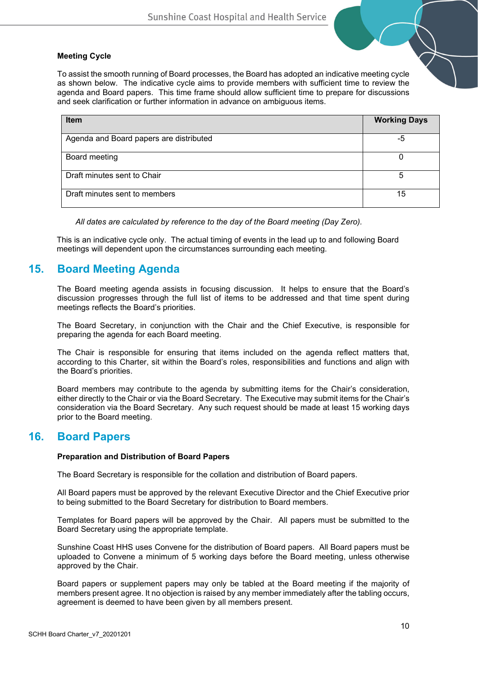### **Meeting Cycle**

To assist the smooth running of Board processes, the Board has adopted an indicative meeting cycle as shown below. The indicative cycle aims to provide members with sufficient time to review the agenda and Board papers. This time frame should allow sufficient time to prepare for discussions and seek clarification or further information in advance on ambiguous items.

| <b>Item</b>                             | <b>Working Days</b> |
|-----------------------------------------|---------------------|
| Agenda and Board papers are distributed | -5                  |
| Board meeting                           | ი                   |
| Draft minutes sent to Chair             | 5                   |
| Draft minutes sent to members           | 15                  |

*All dates are calculated by reference to the day of the Board meeting (Day Zero).*

This is an indicative cycle only. The actual timing of events in the lead up to and following Board meetings will dependent upon the circumstances surrounding each meeting.

## **15. Board Meeting Agenda**

The Board meeting agenda assists in focusing discussion. It helps to ensure that the Board's discussion progresses through the full list of items to be addressed and that time spent during meetings reflects the Board's priorities.

The Board Secretary, in conjunction with the Chair and the Chief Executive, is responsible for preparing the agenda for each Board meeting.

The Chair is responsible for ensuring that items included on the agenda reflect matters that, according to this Charter, sit within the Board's roles, responsibilities and functions and align with the Board's priorities.

Board members may contribute to the agenda by submitting items for the Chair's consideration, either directly to the Chair or via the Board Secretary. The Executive may submit items for the Chair's consideration via the Board Secretary. Any such request should be made at least 15 working days prior to the Board meeting.

### **16. Board Papers**

### **Preparation and Distribution of Board Papers**

The Board Secretary is responsible for the collation and distribution of Board papers.

All Board papers must be approved by the relevant Executive Director and the Chief Executive prior to being submitted to the Board Secretary for distribution to Board members.

Templates for Board papers will be approved by the Chair. All papers must be submitted to the Board Secretary using the appropriate template.

Sunshine Coast HHS uses Convene for the distribution of Board papers. All Board papers must be uploaded to Convene a minimum of 5 working days before the Board meeting, unless otherwise approved by the Chair.

Board papers or supplement papers may only be tabled at the Board meeting if the majority of members present agree. It no objection is raised by any member immediately after the tabling occurs, agreement is deemed to have been given by all members present.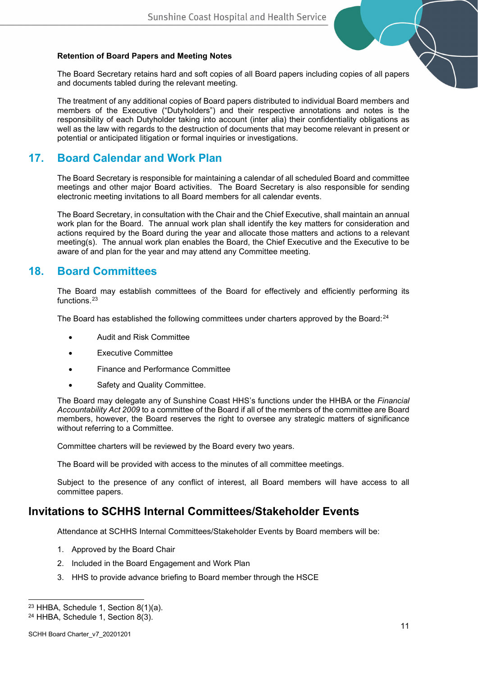### **Retention of Board Papers and Meeting Notes**

The Board Secretary retains hard and soft copies of all Board papers including copies of all papers and documents tabled during the relevant meeting.

The treatment of any additional copies of Board papers distributed to individual Board members and members of the Executive ("Dutyholders") and their respective annotations and notes is the responsibility of each Dutyholder taking into account (inter alia) their confidentiality obligations as well as the law with regards to the destruction of documents that may become relevant in present or potential or anticipated litigation or formal inquiries or investigations.

## **17. Board Calendar and Work Plan**

The Board Secretary is responsible for maintaining a calendar of all scheduled Board and committee meetings and other major Board activities. The Board Secretary is also responsible for sending electronic meeting invitations to all Board members for all calendar events.

The Board Secretary, in consultation with the Chair and the Chief Executive, shall maintain an annual work plan for the Board. The annual work plan shall identify the key matters for consideration and actions required by the Board during the year and allocate those matters and actions to a relevant meeting(s). The annual work plan enables the Board, the Chief Executive and the Executive to be aware of and plan for the year and may attend any Committee meeting.

## **18. Board Committees**

The Board may establish committees of the Board for effectively and efficiently performing its functions.[23](#page-10-0)

The Board has established the following committees under charters approved by the Board: <sup>[24](#page-10-1)</sup>

- Audit and Risk Committee
- Executive Committee
- Finance and Performance Committee
- Safety and Quality Committee.

The Board may delegate any of Sunshine Coast HHS's functions under the HHBA or the *Financial Accountability Act 2009* to a committee of the Board if all of the members of the committee are Board members, however, the Board reserves the right to oversee any strategic matters of significance without referring to a Committee.

Committee charters will be reviewed by the Board every two years.

The Board will be provided with access to the minutes of all committee meetings.

Subject to the presence of any conflict of interest, all Board members will have access to all committee papers.

### **Invitations to SCHHS Internal Committees/Stakeholder Events**

Attendance at SCHHS Internal Committees/Stakeholder Events by Board members will be:

- 1. Approved by the Board Chair
- 2. Included in the Board Engagement and Work Plan
- 3. HHS to provide advance briefing to Board member through the HSCE

<span id="page-10-0"></span> $23$  HHBA, Schedule 1, Section 8(1)(a).

<span id="page-10-1"></span><sup>24</sup> HHBA, Schedule 1, Section 8(3).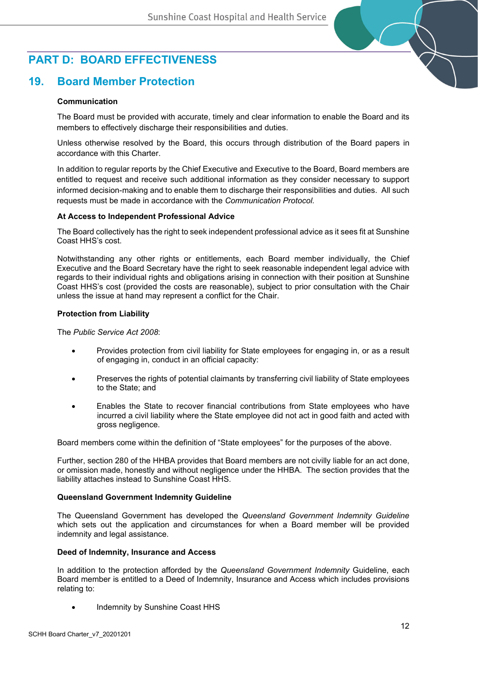# **PART D: BOARD EFFECTIVENESS**

## **19. Board Member Protection**

### **Communication**

The Board must be provided with accurate, timely and clear information to enable the Board and its members to effectively discharge their responsibilities and duties.

Unless otherwise resolved by the Board, this occurs through distribution of the Board papers in accordance with this Charter.

In addition to regular reports by the Chief Executive and Executive to the Board, Board members are entitled to request and receive such additional information as they consider necessary to support informed decision-making and to enable them to discharge their responsibilities and duties. All such requests must be made in accordance with the *Communication Protocol.*

#### **At Access to Independent Professional Advice**

The Board collectively has the right to seek independent professional advice as it sees fit at Sunshine Coast HHS's cost.

Notwithstanding any other rights or entitlements, each Board member individually, the Chief Executive and the Board Secretary have the right to seek reasonable independent legal advice with regards to their individual rights and obligations arising in connection with their position at Sunshine Coast HHS's cost (provided the costs are reasonable), subject to prior consultation with the Chair unless the issue at hand may represent a conflict for the Chair.

#### **Protection from Liability**

The *Public Service Act 2008*:

- Provides protection from civil liability for State employees for engaging in, or as a result of engaging in, conduct in an official capacity:
- Preserves the rights of potential claimants by transferring civil liability of State employees to the State; and
- Enables the State to recover financial contributions from State employees who have incurred a civil liability where the State employee did not act in good faith and acted with gross negligence.

Board members come within the definition of "State employees" for the purposes of the above.

Further, section 280 of the HHBA provides that Board members are not civilly liable for an act done, or omission made, honestly and without negligence under the HHBA. The section provides that the liability attaches instead to Sunshine Coast HHS.

#### **Queensland Government Indemnity Guideline**

The Queensland Government has developed the *Queensland Government Indemnity Guideline* which sets out the application and circumstances for when a Board member will be provided indemnity and legal assistance.

#### **Deed of Indemnity, Insurance and Access**

In addition to the protection afforded by the *Queensland Government Indemnity* Guideline, each Board member is entitled to a Deed of Indemnity, Insurance and Access which includes provisions relating to:

Indemnity by Sunshine Coast HHS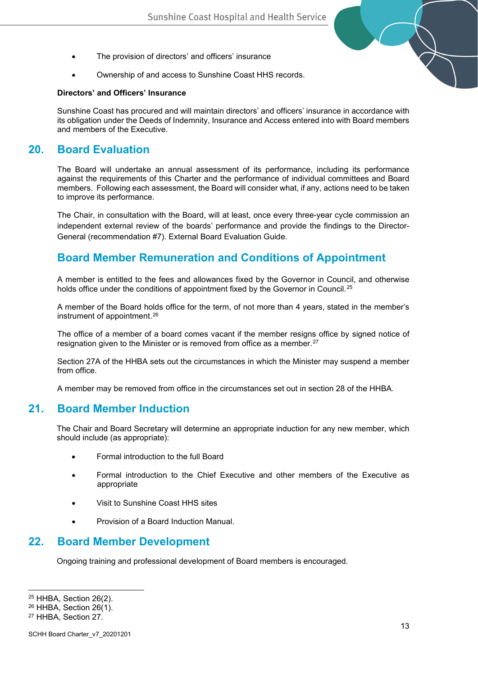- The provision of directors' and officers' insurance
- Ownership of and access to Sunshine Coast HHS records.

#### **Directors' and Officers' Insurance**

Sunshine Coast has procured and will maintain directors' and officers' insurance in accordance with its obligation under the Deeds of Indemnity, Insurance and Access entered into with Board members and members of the Executive.

### **20. Board Evaluation**

The Board will undertake an annual assessment of its performance, including its performance against the requirements of this Charter and the performance of individual committees and Board members. Following each assessment, the Board will consider what, if any, actions need to be taken to improve its performance.

The Chair, in consultation with the Board, will at least, once every three-year cycle commission an independent external review of the boards' performance and provide the findings to the Director-General (recommendation #7). External Board Evaluation Guide.

# **Board Member Remuneration and Conditions of Appointment**

A member is entitled to the fees and allowances fixed by the Governor in Council, and otherwise holds office under the conditions of appointment fixed by the Governor in Council.<sup>[25](#page-12-0)</sup>

A member of the Board holds office for the term, of not more than 4 years, stated in the member's instrument of appointment.[26](#page-12-1)

The office of a member of a board comes vacant if the member resigns office by signed notice of resignation given to the Minister or is removed from office as a member.<sup>[27](#page-12-2)</sup>

Section 27A of the HHBA sets out the circumstances in which the Minister may suspend a member from office.

A member may be removed from office in the circumstances set out in section 28 of the HHBA.

### **21. Board Member Induction**

The Chair and Board Secretary will determine an appropriate induction for any new member, which should include (as appropriate):

- Formal introduction to the full Board
- Formal introduction to the Chief Executive and other members of the Executive as appropriate
- Visit to Sunshine Coast HHS sites
- Provision of a Board Induction Manual.

### **22. Board Member Development**

Ongoing training and professional development of Board members is encouraged.

<span id="page-12-0"></span><sup>25</sup> HHBA, Section 26(2).

<span id="page-12-1"></span><sup>26</sup> HHBA, Section 26(1).

<span id="page-12-2"></span><sup>27</sup> HHBA, Section 27.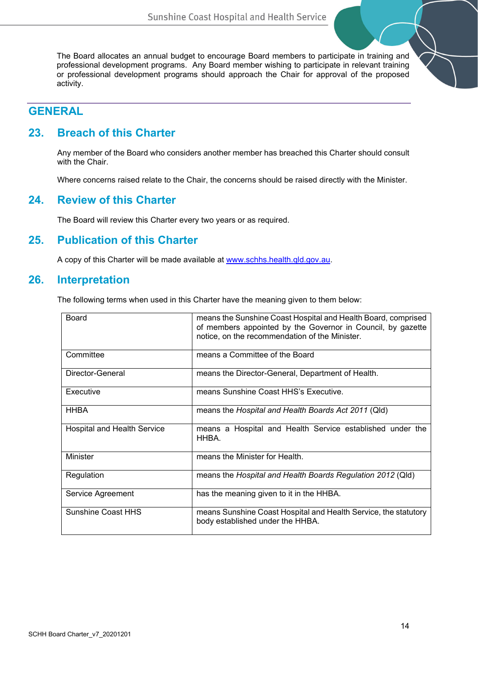The Board allocates an annual budget to encourage Board members to participate in training and professional development programs. Any Board member wishing to participate in relevant training or professional development programs should approach the Chair for approval of the proposed activity.

# **GENERAL**

## **23. Breach of this Charter**

Any member of the Board who considers another member has breached this Charter should consult with the Chair.

Where concerns raised relate to the Chair, the concerns should be raised directly with the Minister.

## **24. Review of this Charter**

The Board will review this Charter every two years or as required.

### **25. Publication of this Charter**

A copy of this Charter will be made available at [www.schhs.health.qld.gov.au.](http://www.schhs.health.qld.gov.au/)

### **26. Interpretation**

The following terms when used in this Charter have the meaning given to them below:

| Board                              | means the Sunshine Coast Hospital and Health Board, comprised<br>of members appointed by the Governor in Council, by gazette<br>notice, on the recommendation of the Minister. |
|------------------------------------|--------------------------------------------------------------------------------------------------------------------------------------------------------------------------------|
| Committee                          | means a Committee of the Board                                                                                                                                                 |
| Director-General                   | means the Director-General, Department of Health.                                                                                                                              |
| Executive                          | means Sunshine Coast HHS's Executive.                                                                                                                                          |
| <b>HHBA</b>                        | means the Hospital and Health Boards Act 2011 (Qld)                                                                                                                            |
| <b>Hospital and Health Service</b> | means a Hospital and Health Service established under the<br>HHBA.                                                                                                             |
| Minister                           | means the Minister for Health.                                                                                                                                                 |
| Regulation                         | means the Hospital and Health Boards Regulation 2012 (Qld)                                                                                                                     |
| Service Agreement                  | has the meaning given to it in the HHBA.                                                                                                                                       |
| <b>Sunshine Coast HHS</b>          | means Sunshine Coast Hospital and Health Service, the statutory<br>body established under the HHBA.                                                                            |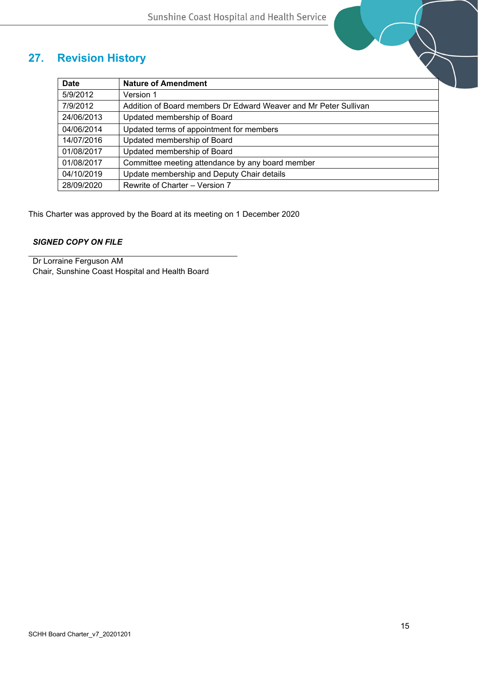# **27. Revision History**

| <b>Revision History</b> |                                                                  |  |
|-------------------------|------------------------------------------------------------------|--|
| <b>Date</b>             | <b>Nature of Amendment</b>                                       |  |
| 5/9/2012                | Version 1                                                        |  |
| 7/9/2012                | Addition of Board members Dr Edward Weaver and Mr Peter Sullivan |  |
| 24/06/2013              | Updated membership of Board                                      |  |
| 04/06/2014              | Updated terms of appointment for members                         |  |
| 14/07/2016              | Updated membership of Board                                      |  |
| 01/08/2017              | Updated membership of Board                                      |  |
| 01/08/2017              | Committee meeting attendance by any board member                 |  |
| 04/10/2019              | Update membership and Deputy Chair details                       |  |
| 28/09/2020              | Rewrite of Charter - Version 7                                   |  |

This Charter was approved by the Board at its meeting on 1 December 2020

### *SIGNED COPY ON FILE*

Dr Lorraine Ferguson AM Chair, Sunshine Coast Hospital and Health Board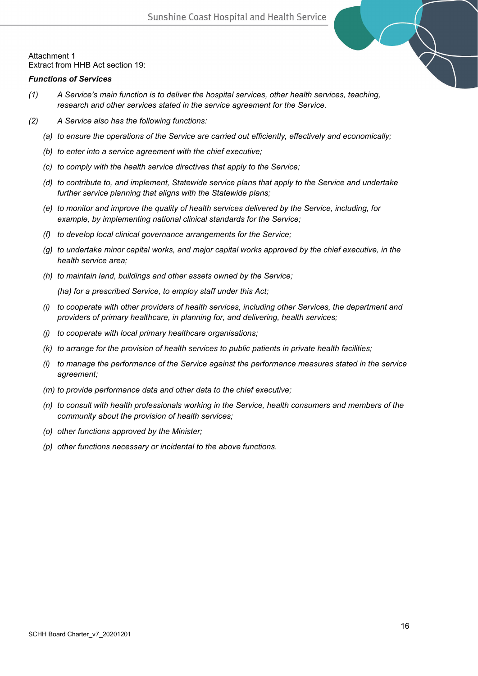

### *Functions of Services*

- *(1) A Service's main function is to deliver the hospital services, other health services, teaching, research and other services stated in the service agreement for the Service.*
- *(2) A Service also has the following functions:*
	- *(a) to ensure the operations of the Service are carried out efficiently, effectively and economically;*
	- *(b) to enter into a service agreement with the chief executive;*
	- *(c) to comply with the health service directives that apply to the Service;*
	- *(d) to contribute to, and implement, Statewide service plans that apply to the Service and undertake further service planning that aligns with the Statewide plans;*
	- *(e) to monitor and improve the quality of health services delivered by the Service, including, for example, by implementing national clinical standards for the Service;*
	- *(f) to develop local clinical governance arrangements for the Service;*
	- *(g) to undertake minor capital works, and major capital works approved by the chief executive, in the health service area;*
	- *(h) to maintain land, buildings and other assets owned by the Service;*

*(ha) for a prescribed Service, to employ staff under this Act;*

- *(i) to cooperate with other providers of health services, including other Services, the department and providers of primary healthcare, in planning for, and delivering, health services;*
- *(j) to cooperate with local primary healthcare organisations;*
- *(k) to arrange for the provision of health services to public patients in private health facilities;*
- *(l) to manage the performance of the Service against the performance measures stated in the service agreement;*
- *(m) to provide performance data and other data to the chief executive;*
- *(n) to consult with health professionals working in the Service, health consumers and members of the community about the provision of health services;*
- *(o) other functions approved by the Minister;*
- *(p) other functions necessary or incidental to the above functions.*